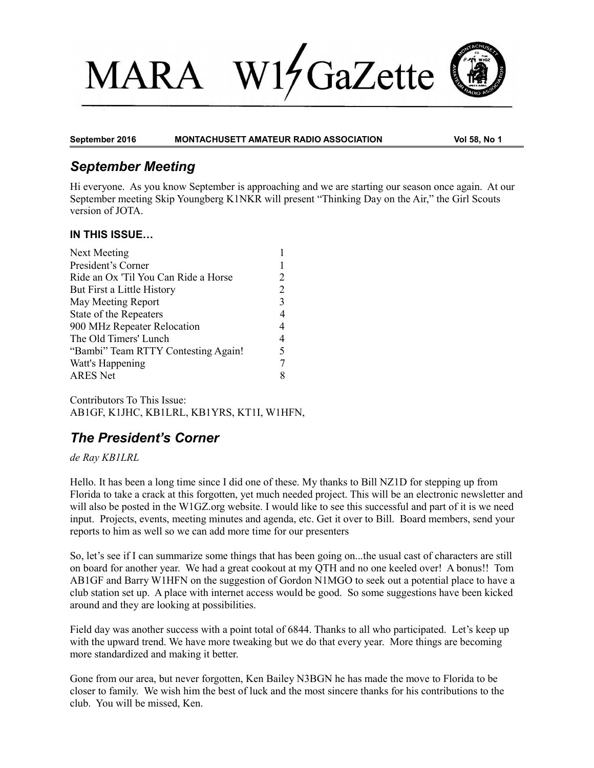# $1/$ GaZette **MARA**



#### **September 2016 MONTACHUSETT AMATEUR RADIO ASSOCIATION Vol 58, No 1**

## *September Meeting*

Hi everyone. As you know September is approaching and we are starting our season once again. At our September meeting Skip Youngberg K1NKR will present "Thinking Day on the Air," the Girl Scouts version of JOTA.

#### **IN THIS ISSUE…**

| 2 |
|---|
| 2 |
| 3 |
| 4 |
| 4 |
| 4 |
| 5 |
| 7 |
| 8 |
|   |

Contributors To This Issue: AB1GF, K1JHC, KB1LRL, KB1YRS, KT1I, W1HFN,

# *The President's Corner*

#### *de Ray KB1LRL*

Hello. It has been a long time since I did one of these. My thanks to Bill NZ1D for stepping up from Florida to take a crack at this forgotten, yet much needed project. This will be an electronic newsletter and will also be posted in the W1GZ.org website. I would like to see this successful and part of it is we need input. Projects, events, meeting minutes and agenda, etc. Get it over to Bill. Board members, send your reports to him as well so we can add more time for our presenters

So, let's see if I can summarize some things that has been going on...the usual cast of characters are still on board for another year. We had a great cookout at my QTH and no one keeled over! A bonus!! Tom AB1GF and Barry W1HFN on the suggestion of Gordon N1MGO to seek out a potential place to have a club station set up. A place with internet access would be good. So some suggestions have been kicked around and they are looking at possibilities.

Field day was another success with a point total of 6844. Thanks to all who participated. Let's keep up with the upward trend. We have more tweaking but we do that every year. More things are becoming more standardized and making it better.

Gone from our area, but never forgotten, Ken Bailey N3BGN he has made the move to Florida to be closer to family. We wish him the best of luck and the most sincere thanks for his contributions to the club. You will be missed, Ken.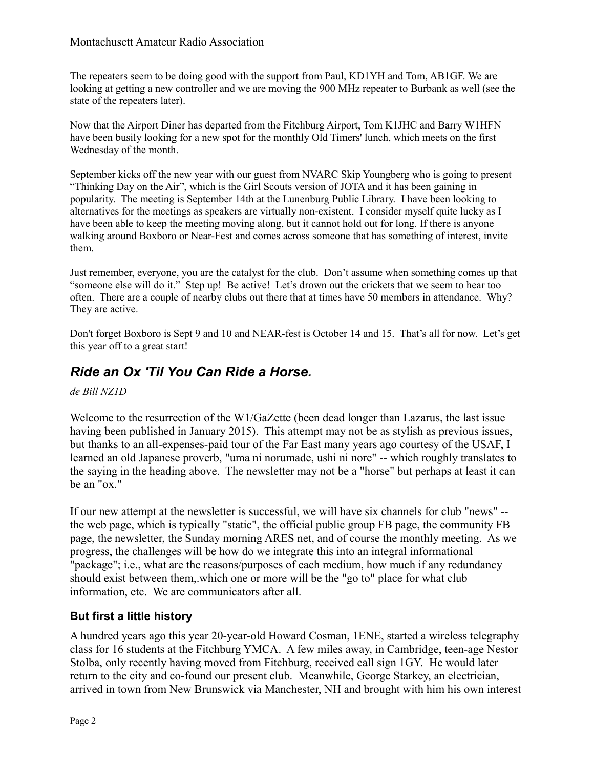The repeaters seem to be doing good with the support from Paul, KD1YH and Tom, AB1GF. We are looking at getting a new controller and we are moving the 900 MHz repeater to Burbank as well (see the state of the repeaters later).

Now that the Airport Diner has departed from the Fitchburg Airport, Tom K1JHC and Barry W1HFN have been busily looking for a new spot for the monthly Old Timers' lunch, which meets on the first Wednesday of the month.

September kicks off the new year with our guest from NVARC Skip Youngberg who is going to present "Thinking Day on the Air", which is the Girl Scouts version of JOTA and it has been gaining in popularity. The meeting is September 14th at the Lunenburg Public Library. I have been looking to alternatives for the meetings as speakers are virtually non-existent. I consider myself quite lucky as I have been able to keep the meeting moving along, but it cannot hold out for long. If there is anyone walking around Boxboro or Near-Fest and comes across someone that has something of interest, invite them.

Just remember, everyone, you are the catalyst for the club. Don't assume when something comes up that "someone else will do it." Step up! Be active! Let's drown out the crickets that we seem to hear too often. There are a couple of nearby clubs out there that at times have 50 members in attendance. Why? They are active.

Don't forget Boxboro is Sept 9 and 10 and NEAR-fest is October 14 and 15. That's all for now. Let's get this year off to a great start!

# *Ride an Ox 'Til You Can Ride a Horse.*

*de Bill NZ1D*

Welcome to the resurrection of the W1/GaZette (been dead longer than Lazarus, the last issue having been published in January 2015). This attempt may not be as stylish as previous issues, but thanks to an all-expenses-paid tour of the Far East many years ago courtesy of the USAF, I learned an old Japanese proverb, "uma ni norumade, ushi ni nore" -- which roughly translates to the saying in the heading above. The newsletter may not be a "horse" but perhaps at least it can be an "ox."

If our new attempt at the newsletter is successful, we will have six channels for club "news" - the web page, which is typically "static", the official public group FB page, the community FB page, the newsletter, the Sunday morning ARES net, and of course the monthly meeting. As we progress, the challenges will be how do we integrate this into an integral informational "package"; i.e., what are the reasons/purposes of each medium, how much if any redundancy should exist between them,.which one or more will be the "go to" place for what club information, etc. We are communicators after all.

#### **But first a little history**

A hundred years ago this year 20-year-old Howard Cosman, 1ENE, started a wireless telegraphy class for 16 students at the Fitchburg YMCA. A few miles away, in Cambridge, teen-age Nestor Stolba, only recently having moved from Fitchburg, received call sign 1GY. He would later return to the city and co-found our present club. Meanwhile, George Starkey, an electrician, arrived in town from New Brunswick via Manchester, NH and brought with him his own interest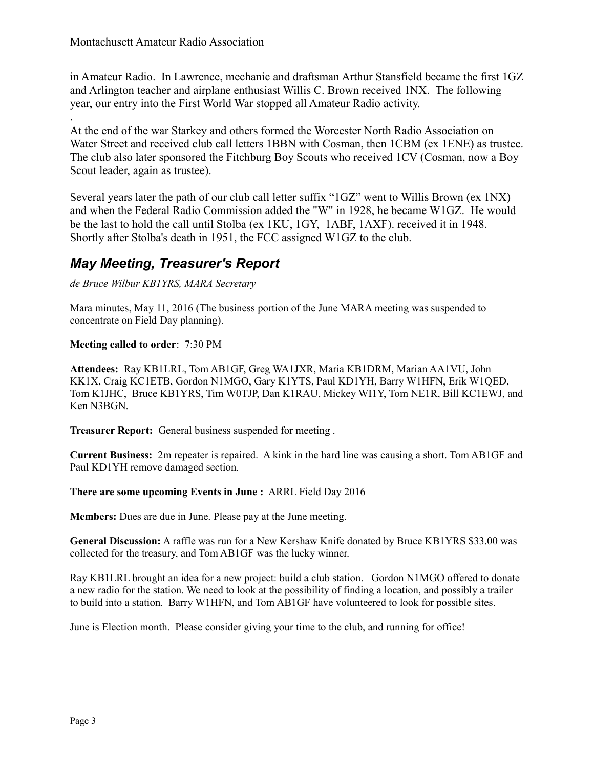.

in Amateur Radio. In Lawrence, mechanic and draftsman Arthur Stansfield became the first 1GZ and Arlington teacher and airplane enthusiast Willis C. Brown received 1NX. The following year, our entry into the First World War stopped all Amateur Radio activity.

At the end of the war Starkey and others formed the Worcester North Radio Association on Water Street and received club call letters 1BBN with Cosman, then 1CBM (ex 1ENE) as trustee. The club also later sponsored the Fitchburg Boy Scouts who received 1CV (Cosman, now a Boy Scout leader, again as trustee).

Several years later the path of our club call letter suffix "1GZ" went to Willis Brown (ex 1NX) and when the Federal Radio Commission added the "W" in 1928, he became W1GZ. He would be the last to hold the call until Stolba (ex 1KU, 1GY, 1ABF, 1AXF). received it in 1948. Shortly after Stolba's death in 1951, the FCC assigned W1GZ to the club.

### *May Meeting, Treasurer's Report*

*de Bruce Wilbur KB1YRS, MARA Secretary* 

Mara minutes, May 11, 2016 (The business portion of the June MARA meeting was suspended to concentrate on Field Day planning).

#### **Meeting called to order**: 7:30 PM

**Attendees:** Ray KB1LRL, Tom AB1GF, Greg WA1JXR, Maria KB1DRM, Marian AA1VU, John KK1X, Craig KC1ETB, Gordon N1MGO, Gary K1YTS, Paul KD1YH, Barry W1HFN, Erik W1QED, Tom K1JHC, Bruce KB1YRS, Tim W0TJP, Dan K1RAU, Mickey WI1Y, Tom NE1R, Bill KC1EWJ, and Ken N3BGN.

**Treasurer Report:** General business suspended for meeting .

**Current Business:** 2m repeater is repaired. A kink in the hard line was causing a short. Tom AB1GF and Paul KD1YH remove damaged section.

**There are some upcoming Events in June :** ARRL Field Day 2016

**Members:** Dues are due in June. Please pay at the June meeting.

**General Discussion:** A raffle was run for a New Kershaw Knife donated by Bruce KB1YRS \$33.00 was collected for the treasury, and Tom AB1GF was the lucky winner.

Ray KB1LRL brought an idea for a new project: build a club station. Gordon N1MGO offered to donate a new radio for the station. We need to look at the possibility of finding a location, and possibly a trailer to build into a station. Barry W1HFN, and Tom AB1GF have volunteered to look for possible sites.

June is Election month. Please consider giving your time to the club, and running for office!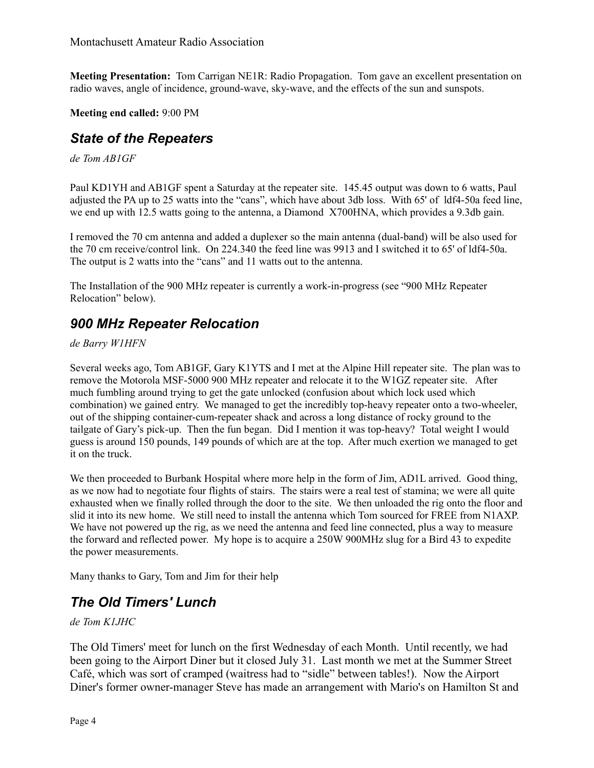**Meeting Presentation:** Tom Carrigan NE1R: Radio Propagation. Tom gave an excellent presentation on radio waves, angle of incidence, ground-wave, sky-wave, and the effects of the sun and sunspots.

#### **Meeting end called:** 9:00 PM

### *State of the Repeaters*

*de Tom AB1GF* 

Paul KD1YH and AB1GF spent a Saturday at the repeater site. 145.45 output was down to 6 watts, Paul adjusted the PA up to 25 watts into the "cans", which have about 3db loss. With 65' of ldf4-50a feed line, we end up with 12.5 watts going to the antenna, a Diamond X700HNA, which provides a 9.3db gain.

I removed the 70 cm antenna and added a duplexer so the main antenna (dual-band) will be also used for the 70 cm receive/control link. On 224.340 the feed line was 9913 and I switched it to 65' of ldf4-50a. The output is 2 watts into the "cans" and 11 watts out to the antenna.

The Installation of the 900 MHz repeater is currently a work-in-progress (see "900 MHz Repeater Relocation" below).

### *900 MHz Repeater Relocation*

*de Barry W1HFN*

Several weeks ago, Tom AB1GF, Gary K1YTS and I met at the Alpine Hill repeater site. The plan was to remove the Motorola MSF-5000 900 MHz repeater and relocate it to the W1GZ repeater site. After much fumbling around trying to get the gate unlocked (confusion about which lock used which combination) we gained entry. We managed to get the incredibly top-heavy repeater onto a two-wheeler, out of the shipping container-cum-repeater shack and across a long distance of rocky ground to the tailgate of Gary's pick-up. Then the fun began. Did I mention it was top-heavy? Total weight I would guess is around 150 pounds, 149 pounds of which are at the top. After much exertion we managed to get it on the truck.

We then proceeded to Burbank Hospital where more help in the form of Jim, AD1L arrived. Good thing, as we now had to negotiate four flights of stairs. The stairs were a real test of stamina; we were all quite exhausted when we finally rolled through the door to the site. We then unloaded the rig onto the floor and slid it into its new home. We still need to install the antenna which Tom sourced for FREE from N1AXP. We have not powered up the rig, as we need the antenna and feed line connected, plus a way to measure the forward and reflected power. My hope is to acquire a 250W 900MHz slug for a Bird 43 to expedite the power measurements.

Many thanks to Gary, Tom and Jim for their help

### *The Old Timers' Lunch*

#### *de Tom K1JHC*

The Old Timers' meet for lunch on the first Wednesday of each Month. Until recently, we had been going to the Airport Diner but it closed July 31. Last month we met at the Summer Street Café, which was sort of cramped (waitress had to "sidle" between tables!). Now the Airport Diner's former owner-manager Steve has made an arrangement with Mario's on Hamilton St and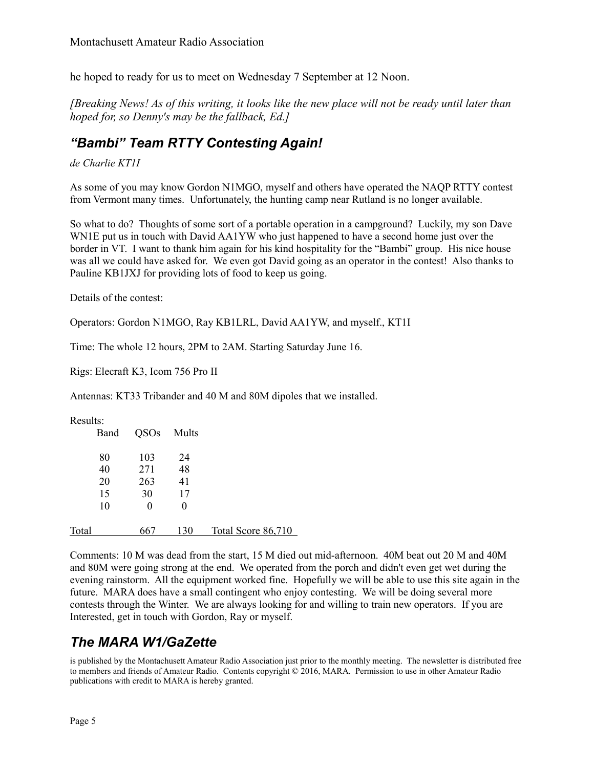he hoped to ready for us to meet on Wednesday 7 September at 12 Noon.

*[Breaking News! As of this writing, it looks like the new place will not be ready until later than hoped for, so Denny's may be the fallback, Ed.]* 

### *"Bambi" Team RTTY Contesting Again!*

*de Charlie KT1I*

As some of you may know Gordon N1MGO, myself and others have operated the NAQP RTTY contest from Vermont many times. Unfortunately, the hunting camp near Rutland is no longer available.

So what to do? Thoughts of some sort of a portable operation in a campground? Luckily, my son Dave WN1E put us in touch with David AA1YW who just happened to have a second home just over the border in VT. I want to thank him again for his kind hospitality for the "Bambi" group. His nice house was all we could have asked for. We even got David going as an operator in the contest! Also thanks to Pauline KB1JXJ for providing lots of food to keep us going.

Details of the contest:

Operators: Gordon N1MGO, Ray KB1LRL, David AA1YW, and myself., KT1I

Time: The whole 12 hours, 2PM to 2AM. Starting Saturday June 16.

Rigs: Elecraft K3, Icom 756 Pro II

Antennas: KT33 Tribander and 40 M and 80M dipoles that we installed.

#### Results:

|       | Band | QSOs | Mults    |                    |
|-------|------|------|----------|--------------------|
|       | 80   | 103  | 24       |                    |
|       | 40   | 271  | 48       |                    |
|       | 20   | 263  | 41       |                    |
|       | 15   | 30   | 17       |                    |
|       | 10   | 0    | $\theta$ |                    |
|       |      |      |          |                    |
| Total |      | b6.  | 130      | Total Score 86,710 |

Comments: 10 M was dead from the start, 15 M died out mid-afternoon. 40M beat out 20 M and 40M and 80M were going strong at the end. We operated from the porch and didn't even get wet during the evening rainstorm. All the equipment worked fine. Hopefully we will be able to use this site again in the future. MARA does have a small contingent who enjoy contesting. We will be doing several more contests through the Winter. We are always looking for and willing to train new operators. If you are Interested, get in touch with Gordon, Ray or myself.

### *The MARA W1/GaZette*

is published by the Montachusett Amateur Radio Association just prior to the monthly meeting. The newsletter is distributed free to members and friends of Amateur Radio. Contents copyright © 2016, MARA. Permission to use in other Amateur Radio publications with credit to MARA is hereby granted.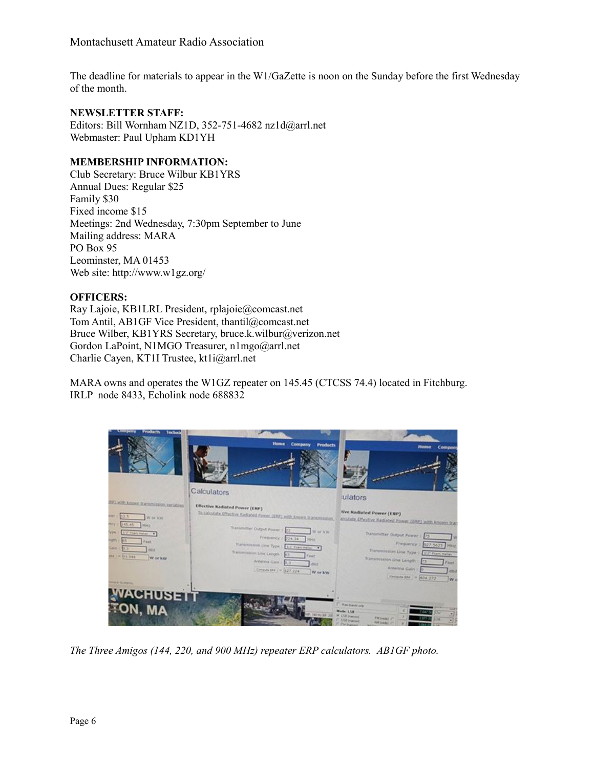The deadline for materials to appear in the W1/GaZette is noon on the Sunday before the first Wednesday of the month.

#### **NEWSLETTER STAFF:**

Editors: Bill Wornham NZ1D, 352-751-4682 nz1d@arrl.net Webmaster: Paul Upham KD1YH

#### **MEMBERSHIP INFORMATION:**

Club Secretary: Bruce Wilbur KB1YRS Annual Dues: Regular \$25 Family \$30 Fixed income \$15 Meetings: 2nd Wednesday, 7:30pm September to June Mailing address: MARA PO Box 95 Leominster, MA 01453 Web site: http://www.w1gz.org/

#### **OFFICERS:**

Ray Lajoie, KB1LRL President, rplajoie@comcast.net Tom Antil, AB1GF Vice President, thantil@comcast.net Bruce Wilber, KB1YRS Secretary, bruce.k.wilbur@verizon.net Gordon LaPoint, N1MGO Treasurer, n1mgo@arrl.net Charlie Cayen, KT1I Trustee, kt1i@arrl.net

MARA owns and operates the W1GZ repeater on 145.45 (CTCSS 74.4) located in Fitchburg. IRLP node 8433, Echolink node 688832



*The Three Amigos (144, 220, and 900 MHz) repeater ERP calculators. AB1GF photo.*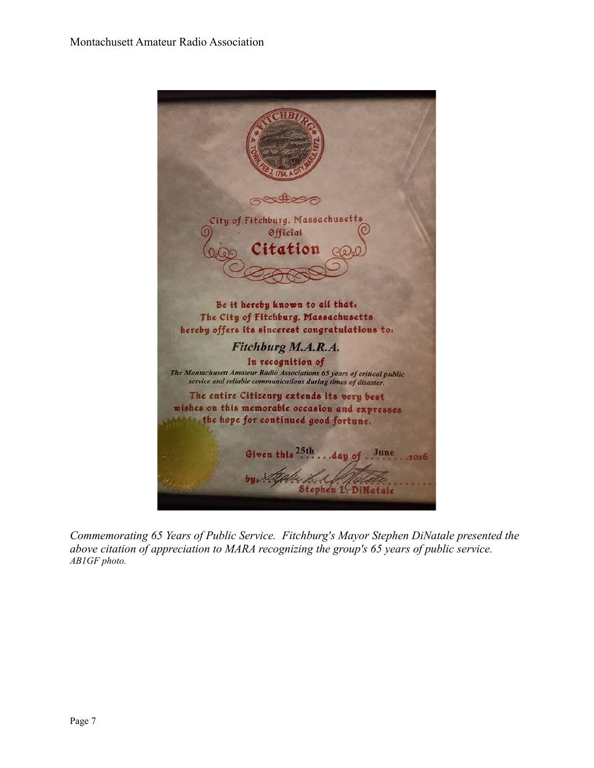

*Commemorating 65 Years of Public Service. Fitchburg's Mayor Stephen DiNatale presented the above citation of appreciation to MARA recognizing the group's 65 years of public service. AB1GF photo.*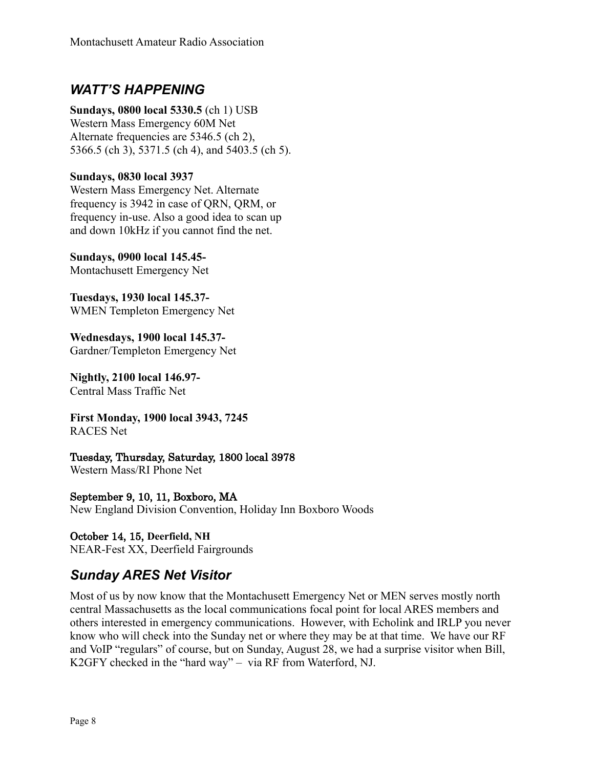### *WATT'S HAPPENING*

**Sundays, 0800 local 5330.5** (ch 1) USB Western Mass Emergency 60M Net Alternate frequencies are 5346.5 (ch 2), 5366.5 (ch 3), 5371.5 (ch 4), and 5403.5 (ch 5).

**Sundays, 0830 local 3937**

Western Mass Emergency Net. Alternate frequency is 3942 in case of QRN, QRM, or frequency in-use. Also a good idea to scan up and down 10kHz if you cannot find the net.

**Sundays, 0900 local 145.45-** Montachusett Emergency Net

**Tuesdays, 1930 local 145.37-** WMEN Templeton Emergency Net

**Wednesdays, 1900 local 145.37-** Gardner/Templeton Emergency Net

**Nightly, 2100 local 146.97-** Central Mass Traffic Net

**First Monday, 1900 local 3943, 7245** RACES Net

Tuesday, Thursday, Saturday, 1800 local 3978

Western Mass/RI Phone Net

September 9, 10, 11, Boxboro, MA New England Division Convention, Holiday Inn Boxboro Woods

October 14, 15, **Deerfield, NH** NEAR-Fest XX, Deerfield Fairgrounds

# *Sunday ARES Net Visitor*

Most of us by now know that the Montachusett Emergency Net or MEN serves mostly north central Massachusetts as the local communications focal point for local ARES members and others interested in emergency communications. However, with Echolink and IRLP you never know who will check into the Sunday net or where they may be at that time. We have our RF and VoIP "regulars" of course, but on Sunday, August 28, we had a surprise visitor when Bill, K2GFY checked in the "hard way" – via RF from Waterford, NJ.